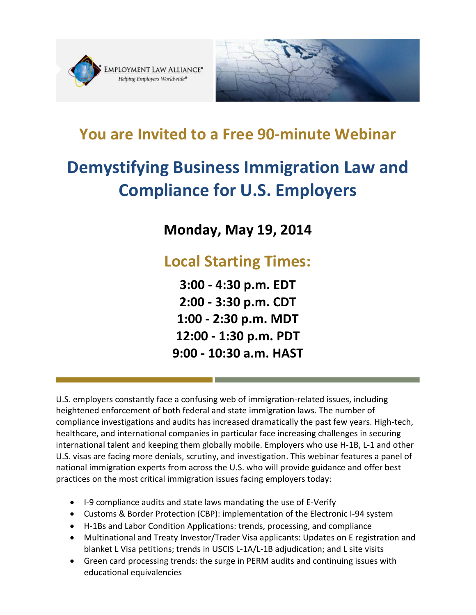



# **You are Invited to a Free 90-minute Webinar**

# **Demystifying Business Immigration Law and Compliance for U.S. Employers**

**Monday, May 19, 2014**

# **Local Starting Times:**

**3:00 - 4:30 p.m. EDT 2:00 - 3:30 p.m. CDT 1:00 - 2:30 p.m. MDT 12:00 - 1:30 p.m. PDT 9:00 - 10:30 a.m. HAST**

U.S. employers constantly face a confusing web of immigration-related issues, including heightened enforcement of both federal and state immigration laws. The number of compliance investigations and audits has increased dramatically the past few years. High-tech, healthcare, and international companies in particular face increasing challenges in securing international talent and keeping them globally mobile. Employers who use H-1B, L-1 and other U.S. visas are facing more denials, scrutiny, and investigation. This webinar features a panel of national immigration experts from across the U.S. who will provide guidance and offer best practices on the most critical immigration issues facing employers today:

- I-9 compliance audits and state laws mandating the use of E-Verify
- Customs & Border Protection (CBP): implementation of the Electronic I-94 system
- H-1Bs and Labor Condition Applications: trends, processing, and compliance
- Multinational and Treaty Investor/Trader Visa applicants: Updates on E registration and blanket L Visa petitions; trends in USCIS L-1A/L-1B adjudication; and L site visits
- Green card processing trends: the surge in PERM audits and continuing issues with educational equivalencies